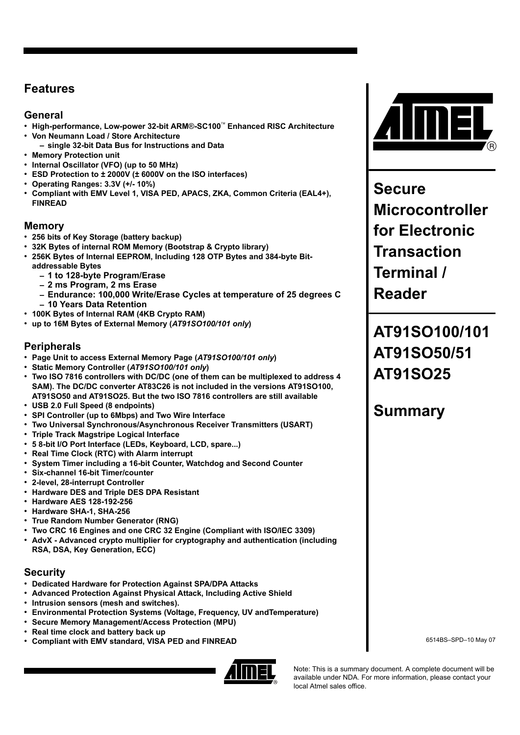### **Features**

### **General**

- **High-performance, Low-power 32-bit ARM**®**-SC100**™ **Enhanced RISC Architecture**
- **Von Neumann Load / Store Architecture – single 32-bit Data Bus for Instructions and Data**
- **Memory Protection unit**
- **Internal Oscillator (VFO) (up to 50 MHz)**
- **ESD Protection to ± 2000V (± 6000V on the ISO interfaces)**
- **Operating Ranges: 3.3V (+/- 10%)**
- **Compliant with EMV Level 1, VISA PED, APACS, ZKA, Common Criteria (EAL4+), FINREAD**

#### **Memory**

- **256 bits of Key Storage (battery backup)**
- **32K Bytes of internal ROM Memory (Bootstrap & Crypto library)**
- **256K Bytes of Internal EEPROM, Including 128 OTP Bytes and 384-byte Bitaddressable Bytes**
	- **– 1 to 128-byte Program/Erase**
	- **– 2 ms Program, 2 ms Erase**
	- **– Endurance: 100,000 Write/Erase Cycles at temperature of 25 degrees C**
	- **– 10 Years Data Retention**
- **100K Bytes of Internal RAM (4KB Crypto RAM)**
- **up to 16M Bytes of External Memory (***AT91SO100/101 only***)**

#### **Peripherals**

- **Page Unit to access External Memory Page (***AT91SO100/101 only***)**
- **Static Memory Controller (***AT91SO100/101 only***)**
- **Two ISO 7816 controllers with DC/DC (one of them can be multiplexed to address 4 SAM). The DC/DC converter AT83C26 is not included in the versions AT91SO100, AT91SO50 and AT91SO25. But the two ISO 7816 controllers are still available**
- **USB 2.0 Full Speed (8 endpoints)**
- **SPI Controller (up to 6Mbps) and Two Wire Interface**
- **Two Universal Synchronous/Asynchronous Receiver Transmitters (USART)**
- **Triple Track Magstripe Logical Interface**
- **5 8-bit I/O Port Interface (LEDs, Keyboard, LCD, spare...)**
- **Real Time Clock (RTC) with Alarm interrupt**
- **System Timer including a 16-bit Counter, Watchdog and Second Counter**
- **Six-channel 16-bit Timer/counter**
- **2-level, 28-interrupt Controller**
- **Hardware DES and Triple DES DPA Resistant**
- **Hardware AES 128-192-256**
- **Hardware SHA-1, SHA-256**
- **True Random Number Generator (RNG)**
- **Two CRC 16 Engines and one CRC 32 Engine (Compliant with ISO/IEC 3309)**
- **AdvX Advanced crypto multiplier for cryptography and authentication (including RSA, DSA, Key Generation, ECC)**

#### **Security**

- **Dedicated Hardware for Protection Against SPA/DPA Attacks**
- **Advanced Protection Against Physical Attack, Including Active Shield**
- **Intrusion sensors (mesh and switches).**
- **Environmental Protection Systems (Voltage, Frequency, UV andTemperature)**
- **Secure Memory Management/Access Protection (MPU)**
- **Real time clock and battery back up**
- **Compliant with EMV standard, VISA PED and FINREAD**





**Secure Microcontroller for Electronic Transaction Terminal / Reader**

# **AT91SO100/101 AT91SO50/51 AT91SO25**

## **Summary**

6514BS–SPD–10 May 07

Note: This is a summary document. A complete document will be available under NDA. For more information, please contact your local Atmel sales office.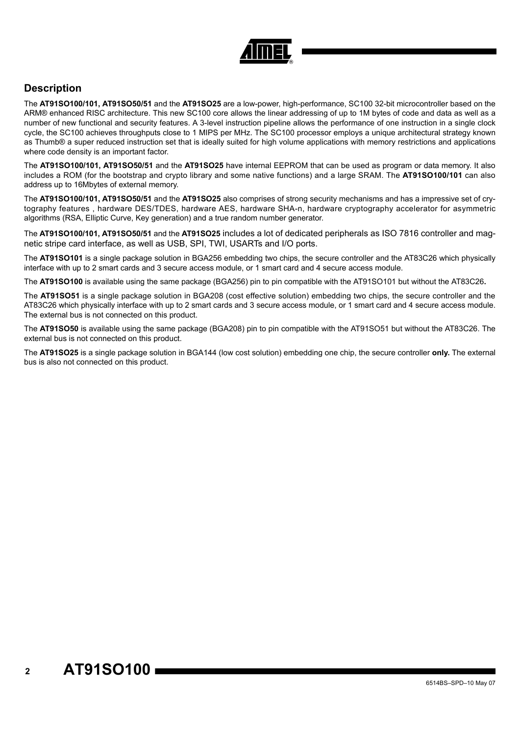

### **Description**

The **AT91SO100/101, AT91SO50/51** and the **AT91SO25** are a low-power, high-performance, SC100 32-bit microcontroller based on the ARM® enhanced RISC architecture. This new SC100 core allows the linear addressing of up to 1M bytes of code and data as well as a number of new functional and security features. A 3-level instruction pipeline allows the performance of one instruction in a single clock cycle, the SC100 achieves throughputs close to 1 MIPS per MHz. The SC100 processor employs a unique architectural strategy known as Thumb® a super reduced instruction set that is ideally suited for high volume applications with memory restrictions and applications where code density is an important factor.

The **AT91SO100/101, AT91SO50/51** and the **AT91SO25** have internal EEPROM that can be used as program or data memory. It also includes a ROM (for the bootstrap and crypto library and some native functions) and a large SRAM. The **AT91SO100/101** can also address up to 16Mbytes of external memory.

The **AT91SO100/101, AT91SO50/51** and the **AT91SO25** also comprises of strong security mechanisms and has a impressive set of crytography features , hardware DES/TDES, hardware AES, hardware SHA-n, hardware cryptography accelerator for asymmetric algorithms (RSA, Elliptic Curve, Key generation) and a true random number generator.

The **AT91SO100/101, AT91SO50/51** and the **AT91SO25** includes a lot of dedicated peripherals as ISO 7816 controller and magnetic stripe card interface, as well as USB, SPI, TWI, USARTs and I/O ports.

The **AT91SO101** is a single package solution in BGA256 embedding two chips, the secure controller and the AT83C26 which physically interface with up to 2 smart cards and 3 secure access module, or 1 smart card and 4 secure access module.

The **AT91SO100** is available using the same package (BGA256) pin to pin compatible with the AT91SO101 but without the AT83C26**.**

The **AT91SO51** is a single package solution in BGA208 (cost effective solution) embedding two chips, the secure controller and the AT83C26 which physically interface with up to 2 smart cards and 3 secure access module, or 1 smart card and 4 secure access module. The external bus is not connected on this product.

The **AT91SO50** is available using the same package (BGA208) pin to pin compatible with the AT91SO51 but without the AT83C26. The external bus is not connected on this product.

The **AT91SO25** is a single package solution in BGA144 (low cost solution) embedding one chip, the secure controller **only.** The external bus is also not connected on this product.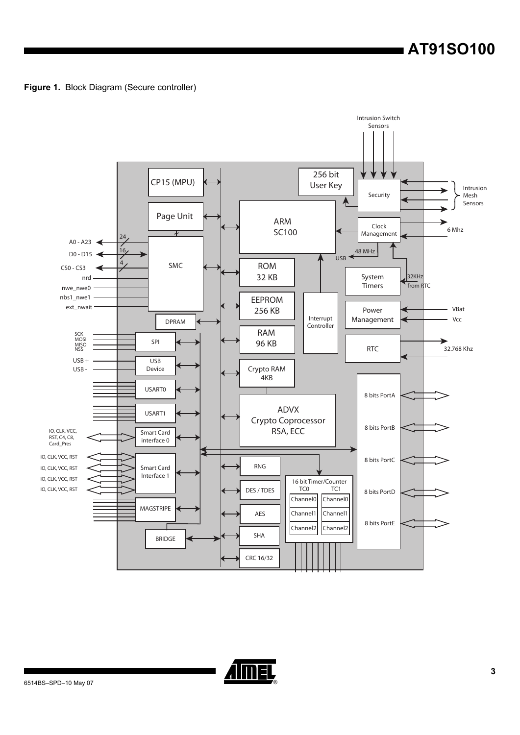**Figure 1.** Block Diagram (Secure controller)



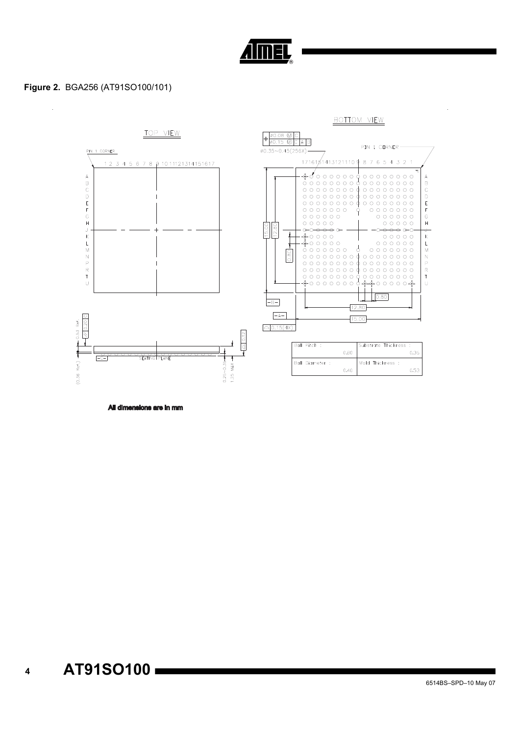

#### Figure 2. BGA256 (AT91SO100/101)



All dimensions are in mm

 $\overline{\mathbf{4}}$ 

6514BS-SPD-10 May 07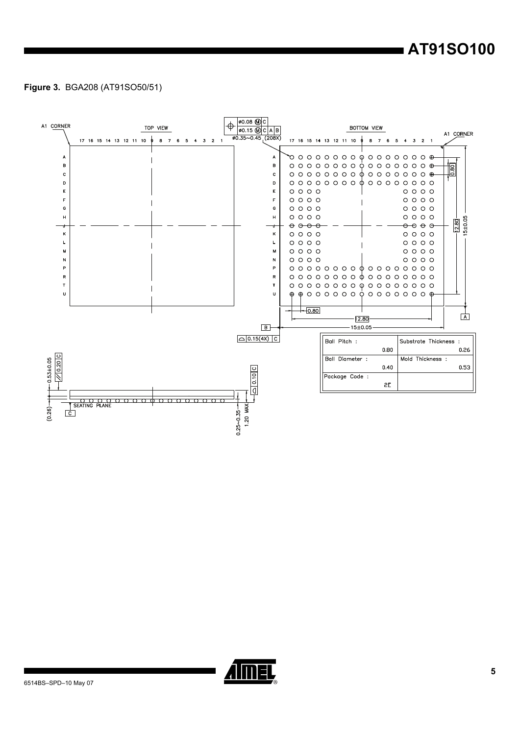# AT91SO100

#### Figure 3. BGA208 (AT91SO50/51)



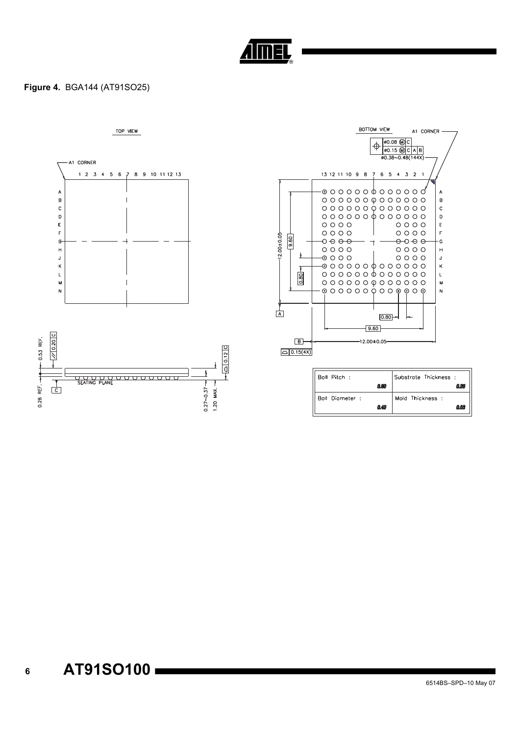

#### Figure 4. BGA144 (AT91SO25)

TOP VIEW





| Ball Pitch :    |      | Substrate Thickness : |      |
|-----------------|------|-----------------------|------|
|                 | 0.80 |                       | 02   |
| Ball Diameter : |      | Mold Thickness:       |      |
|                 | 0.40 |                       | 0.53 |

 $6\phantom{a}$